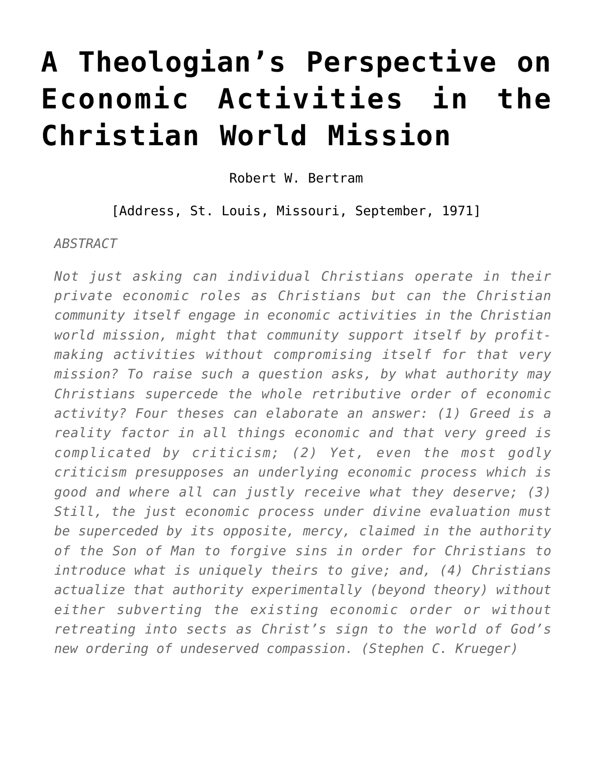## **[A Theologian's Perspective on](https://crossings.org/theologians-perspective-economic/) [Economic Activities in the](https://crossings.org/theologians-perspective-economic/) [Christian World Mission](https://crossings.org/theologians-perspective-economic/)**

Robert W. Bertram

[Address, St. Louis, Missouri, September, 1971]

*ABSTRACT*

*Not just asking can individual Christians operate in their private economic roles as Christians but can the Christian community itself engage in economic activities in the Christian world mission, might that community support itself by profitmaking activities without compromising itself for that very mission? To raise such a question asks, by what authority may Christians supercede the whole retributive order of economic activity? Four theses can elaborate an answer: (1) Greed is a reality factor in all things economic and that very greed is complicated by criticism; (2) Yet, even the most godly criticism presupposes an underlying economic process which is good and where all can justly receive what they deserve; (3) Still, the just economic process under divine evaluation must be superceded by its opposite, mercy, claimed in the authority of the Son of Man to forgive sins in order for Christians to introduce what is uniquely theirs to give; and, (4) Christians actualize that authority experimentally (beyond theory) without either subverting the existing economic order or without retreating into sects as Christ's sign to the world of God's new ordering of undeserved compassion. (Stephen C. Krueger)*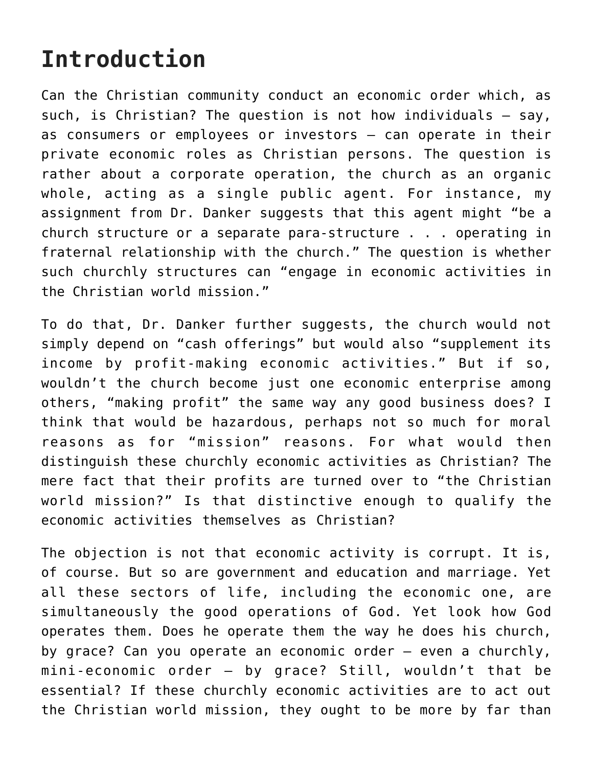## **Introduction**

Can the Christian community conduct an economic order which, as such, is Christian? The question is not how individuals — say, as consumers or employees or investors — can operate in their private economic roles as Christian persons. The question is rather about a corporate operation, the church as an organic whole, acting as a single public agent. For instance, my assignment from Dr. Danker suggests that this agent might "be a church structure or a separate para-structure . . . operating in fraternal relationship with the church." The question is whether such churchly structures can "engage in economic activities in the Christian world mission."

To do that, Dr. Danker further suggests, the church would not simply depend on "cash offerings" but would also "supplement its income by profit-making economic activities." But if so, wouldn't the church become just one economic enterprise among others, "making profit" the same way any good business does? I think that would be hazardous, perhaps not so much for moral reasons as for "mission" reasons. For what would then distinguish these churchly economic activities as Christian? The mere fact that their profits are turned over to "the Christian world mission?" Is that distinctive enough to qualify the economic activities themselves as Christian?

The objection is not that economic activity is corrupt. It is, of course. But so are government and education and marriage. Yet all these sectors of life, including the economic one, are simultaneously the good operations of God. Yet look how God operates them. Does he operate them the way he does his church, by grace? Can you operate an economic order — even a churchly, mini-economic order — by grace? Still, wouldn't that be essential? If these churchly economic activities are to act out the Christian world mission, they ought to be more by far than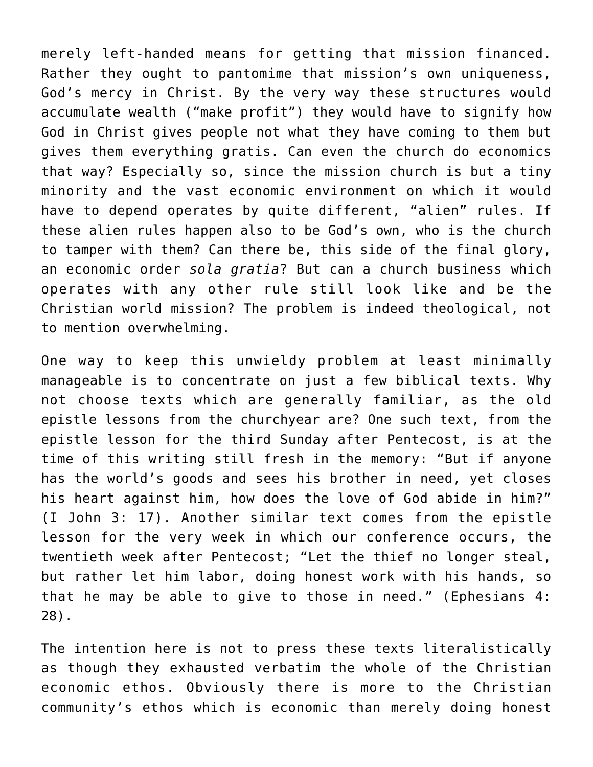merely left-handed means for getting that mission financed. Rather they ought to pantomime that mission's own uniqueness, God's mercy in Christ. By the very way these structures would accumulate wealth ("make profit") they would have to signify how God in Christ gives people not what they have coming to them but gives them everything gratis. Can even the church do economics that way? Especially so, since the mission church is but a tiny minority and the vast economic environment on which it would have to depend operates by quite different, "alien" rules. If these alien rules happen also to be God's own, who is the church to tamper with them? Can there be, this side of the final glory, an economic order *sola gratia*? But can a church business which operates with any other rule still look like and be the Christian world mission? The problem is indeed theological, not to mention overwhelming.

One way to keep this unwieldy problem at least minimally manageable is to concentrate on just a few biblical texts. Why not choose texts which are generally familiar, as the old epistle lessons from the churchyear are? One such text, from the epistle lesson for the third Sunday after Pentecost, is at the time of this writing still fresh in the memory: "But if anyone has the world's goods and sees his brother in need, yet closes his heart against him, how does the love of God abide in him?" (I John 3: 17). Another similar text comes from the epistle lesson for the very week in which our conference occurs, the twentieth week after Pentecost; "Let the thief no longer steal, but rather let him labor, doing honest work with his hands, so that he may be able to give to those in need." (Ephesians 4: 28).

The intention here is not to press these texts literalistically as though they exhausted verbatim the whole of the Christian economic ethos. Obviously there is more to the Christian community's ethos which is economic than merely doing honest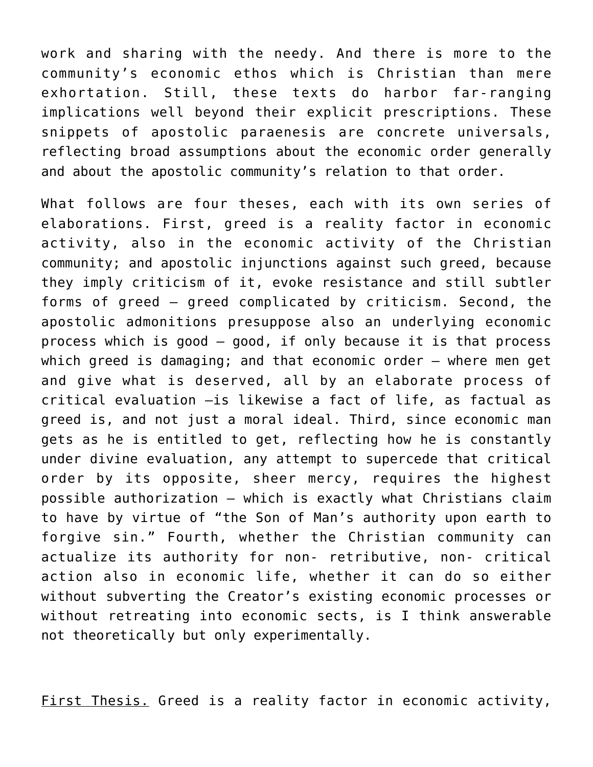work and sharing with the needy. And there is more to the community's economic ethos which is Christian than mere exhortation. Still, these texts do harbor far-ranging implications well beyond their explicit prescriptions. These snippets of apostolic paraenesis are concrete universals, reflecting broad assumptions about the economic order generally and about the apostolic community's relation to that order.

What follows are four theses, each with its own series of elaborations. First, greed is a reality factor in economic activity, also in the economic activity of the Christian community; and apostolic injunctions against such greed, because they imply criticism of it, evoke resistance and still subtler forms of greed — greed complicated by criticism. Second, the apostolic admonitions presuppose also an underlying economic process which is good — good, if only because it is that process which greed is damaging; and that economic order — where men get and give what is deserved, all by an elaborate process of critical evaluation –is likewise a fact of life, as factual as greed is, and not just a moral ideal. Third, since economic man gets as he is entitled to get, reflecting how he is constantly under divine evaluation, any attempt to supercede that critical order by its opposite, sheer mercy, requires the highest possible authorization — which is exactly what Christians claim to have by virtue of "the Son of Man's authority upon earth to forgive sin." Fourth, whether the Christian community can actualize its authority for non- retributive, non- critical action also in economic life, whether it can do so either without subverting the Creator's existing economic processes or without retreating into economic sects, is I think answerable not theoretically but only experimentally.

First Thesis. Greed is a reality factor in economic activity,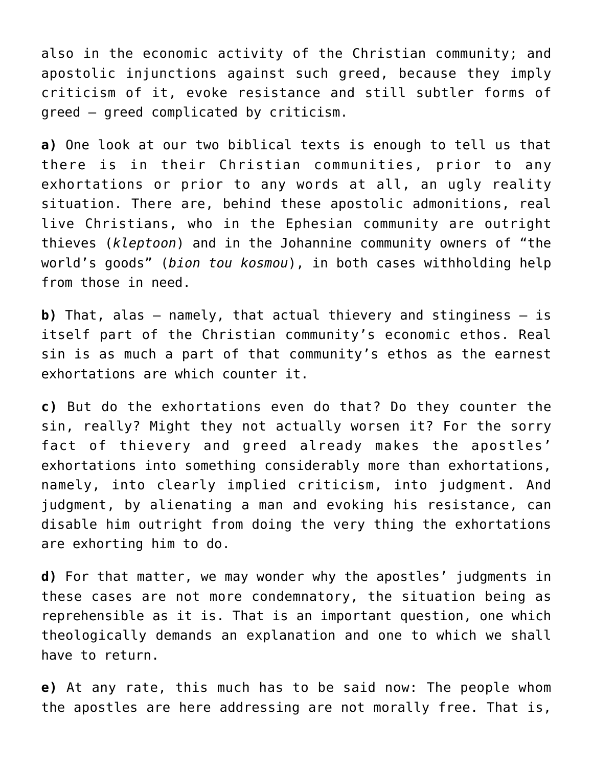also in the economic activity of the Christian community; and apostolic injunctions against such greed, because they imply criticism of it, evoke resistance and still subtler forms of greed – greed complicated by criticism.

**a)** One look at our two biblical texts is enough to tell us that there is in their Christian communities, prior to any exhortations or prior to any words at all, an ugly reality situation. There are, behind these apostolic admonitions, real live Christians, who in the Ephesian community are outright thieves (*kleptoon*) and in the Johannine community owners of "the world's goods" (*bion tou kosmou*), in both cases withholding help from those in need.

**b)** That, alas — namely, that actual thievery and stinginess — is itself part of the Christian community's economic ethos. Real sin is as much a part of that community's ethos as the earnest exhortations are which counter it.

**c)** But do the exhortations even do that? Do they counter the sin, really? Might they not actually worsen it? For the sorry fact of thievery and greed already makes the apostles' exhortations into something considerably more than exhortations, namely, into clearly implied criticism, into judgment. And judgment, by alienating a man and evoking his resistance, can disable him outright from doing the very thing the exhortations are exhorting him to do.

**d)** For that matter, we may wonder why the apostles' judgments in these cases are not more condemnatory, the situation being as reprehensible as it is. That is an important question, one which theologically demands an explanation and one to which we shall have to return.

**e)** At any rate, this much has to be said now: The people whom the apostles are here addressing are not morally free. That is,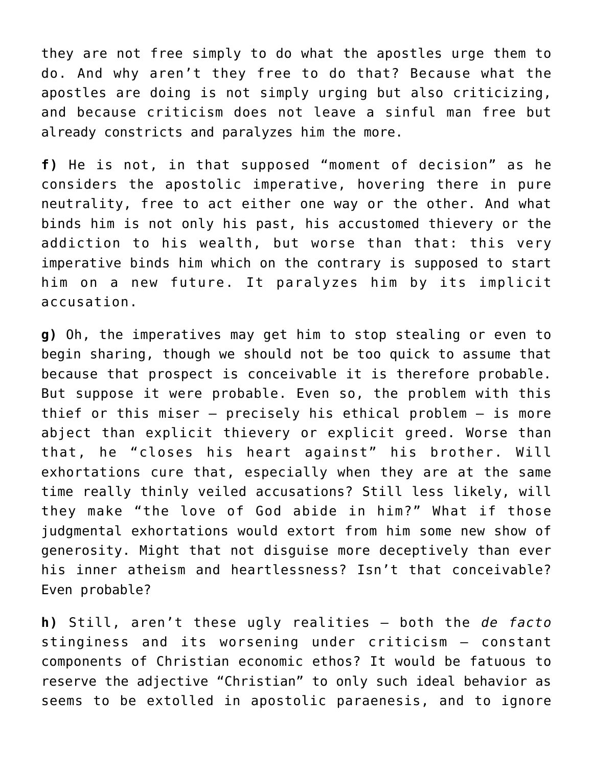they are not free simply to do what the apostles urge them to do. And why aren't they free to do that? Because what the apostles are doing is not simply urging but also criticizing, and because criticism does not leave a sinful man free but already constricts and paralyzes him the more.

**f)** He is not, in that supposed "moment of decision" as he considers the apostolic imperative, hovering there in pure neutrality, free to act either one way or the other. And what binds him is not only his past, his accustomed thievery or the addiction to his wealth, but worse than that: this very imperative binds him which on the contrary is supposed to start him on a new future. It paralyzes him by its implicit accusation.

**g)** Oh, the imperatives may get him to stop stealing or even to begin sharing, though we should not be too quick to assume that because that prospect is conceivable it is therefore probable. But suppose it were probable. Even so, the problem with this thief or this miser — precisely his ethical problem – is more abject than explicit thievery or explicit greed. Worse than that, he "closes his heart against" his brother. Will exhortations cure that, especially when they are at the same time really thinly veiled accusations? Still less likely, will they make "the love of God abide in him?" What if those judgmental exhortations would extort from him some new show of generosity. Might that not disguise more deceptively than ever his inner atheism and heartlessness? Isn't that conceivable? Even probable?

**h)** Still, aren't these ugly realities — both the *de facto* stinginess and its worsening under criticism — constant components of Christian economic ethos? It would be fatuous to reserve the adjective "Christian" to only such ideal behavior as seems to be extolled in apostolic paraenesis, and to ignore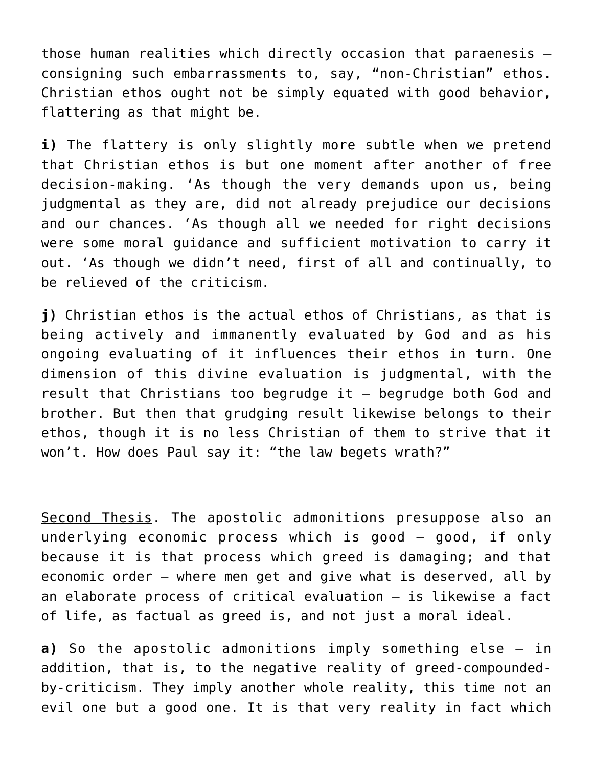those human realities which directly occasion that paraenesis consigning such embarrassments to, say, "non-Christian" ethos. Christian ethos ought not be simply equated with good behavior, flattering as that might be.

**i)** The flattery is only slightly more subtle when we pretend that Christian ethos is but one moment after another of free decision-making. 'As though the very demands upon us, being judgmental as they are, did not already prejudice our decisions and our chances. 'As though all we needed for right decisions were some moral guidance and sufficient motivation to carry it out. 'As though we didn't need, first of all and continually, to be relieved of the criticism.

**j)** Christian ethos is the actual ethos of Christians, as that is being actively and immanently evaluated by God and as his ongoing evaluating of it influences their ethos in turn. One dimension of this divine evaluation is judgmental, with the result that Christians too begrudge it — begrudge both God and brother. But then that grudging result likewise belongs to their ethos, though it is no less Christian of them to strive that it won't. How does Paul say it: "the law begets wrath?"

Second Thesis. The apostolic admonitions presuppose also an underlying economic process which is good — good, if only because it is that process which greed is damaging; and that economic order — where men get and give what is deserved, all by an elaborate process of critical evaluation — is likewise a fact of life, as factual as greed is, and not just a moral ideal.

**a)** So the apostolic admonitions imply something else — in addition, that is, to the negative reality of greed-compoundedby-criticism. They imply another whole reality, this time not an evil one but a good one. It is that very reality in fact which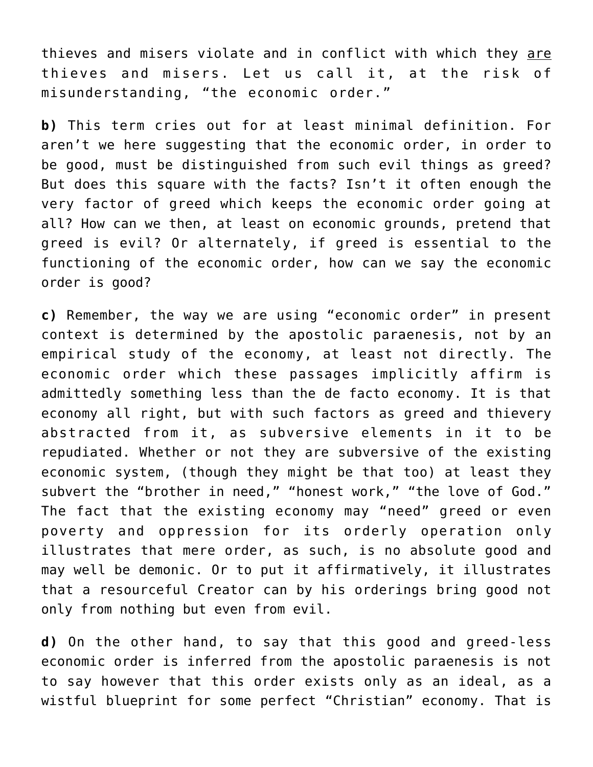thieves and misers violate and in conflict with which they are thieves and misers. Let us call it, at the risk of misunderstanding, "the economic order."

**b)** This term cries out for at least minimal definition. For aren't we here suggesting that the economic order, in order to be good, must be distinguished from such evil things as greed? But does this square with the facts? Isn't it often enough the very factor of greed which keeps the economic order going at all? How can we then, at least on economic grounds, pretend that greed is evil? Or alternately, if greed is essential to the functioning of the economic order, how can we say the economic order is good?

**c)** Remember, the way we are using "economic order" in present context is determined by the apostolic paraenesis, not by an empirical study of the economy, at least not directly. The economic order which these passages implicitly affirm is admittedly something less than the de facto economy. It is that economy all right, but with such factors as greed and thievery abstracted from it, as subversive elements in it to be repudiated. Whether or not they are subversive of the existing economic system, (though they might be that too) at least they subvert the "brother in need," "honest work," "the love of God." The fact that the existing economy may "need" greed or even poverty and oppression for its orderly operation only illustrates that mere order, as such, is no absolute good and may well be demonic. Or to put it affirmatively, it illustrates that a resourceful Creator can by his orderings bring good not only from nothing but even from evil.

**d)** On the other hand, to say that this good and greed-less economic order is inferred from the apostolic paraenesis is not to say however that this order exists only as an ideal, as a wistful blueprint for some perfect "Christian" economy. That is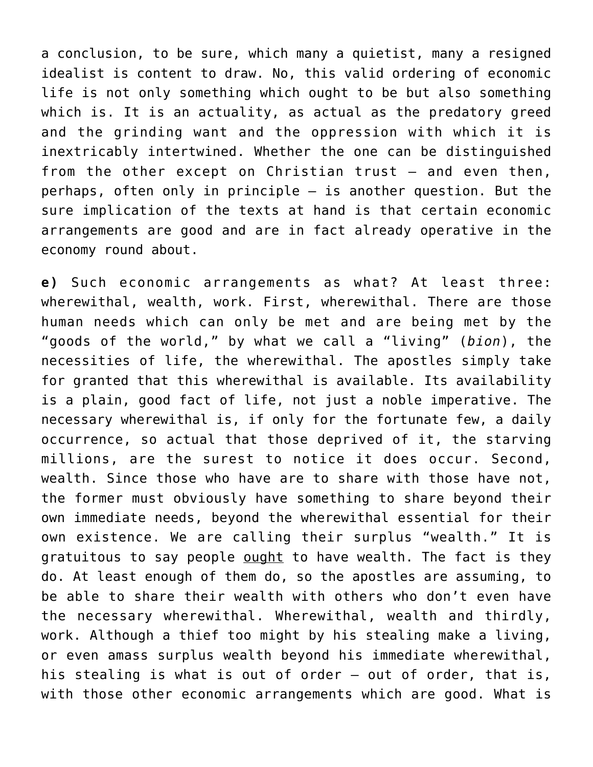a conclusion, to be sure, which many a quietist, many a resigned idealist is content to draw. No, this valid ordering of economic life is not only something which ought to be but also something which is. It is an actuality, as actual as the predatory greed and the grinding want and the oppression with which it is inextricably intertwined. Whether the one can be distinguished from the other except on Christian trust – and even then, perhaps, often only in principle – is another question. But the sure implication of the texts at hand is that certain economic arrangements are good and are in fact already operative in the economy round about.

**e)** Such economic arrangements as what? At least three: wherewithal, wealth, work. First, wherewithal. There are those human needs which can only be met and are being met by the "goods of the world," by what we call a "living" (*bion*), the necessities of life, the wherewithal. The apostles simply take for granted that this wherewithal is available. Its availability is a plain, good fact of life, not just a noble imperative. The necessary wherewithal is, if only for the fortunate few, a daily occurrence, so actual that those deprived of it, the starving millions, are the surest to notice it does occur. Second, wealth. Since those who have are to share with those have not, the former must obviously have something to share beyond their own immediate needs, beyond the wherewithal essential for their own existence. We are calling their surplus "wealth." It is gratuitous to say people ought to have wealth. The fact is they do. At least enough of them do, so the apostles are assuming, to be able to share their wealth with others who don't even have the necessary wherewithal. Wherewithal, wealth and thirdly, work. Although a thief too might by his stealing make a living, or even amass surplus wealth beyond his immediate wherewithal, his stealing is what is out of order – out of order, that is, with those other economic arrangements which are good. What is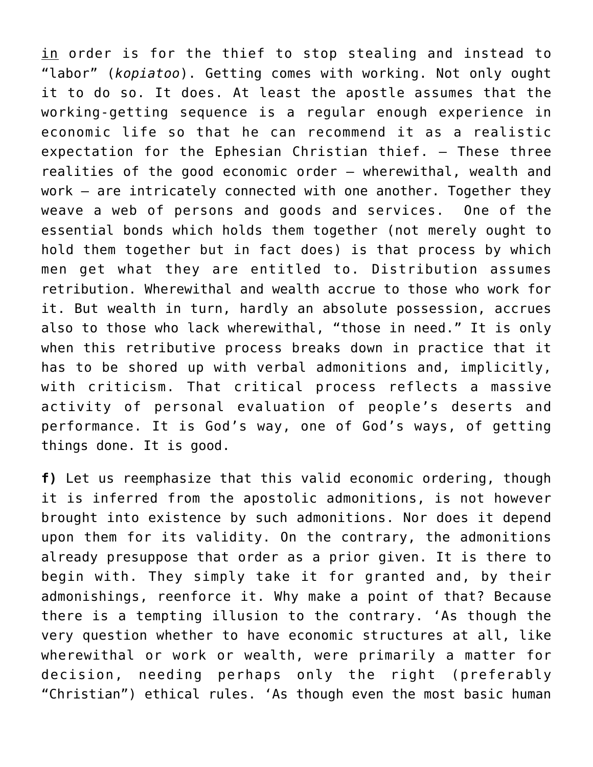in order is for the thief to stop stealing and instead to "labor" (*kopiatoo*). Getting comes with working. Not only ought it to do so. It does. At least the apostle assumes that the working-getting sequence is a regular enough experience in economic life so that he can recommend it as a realistic expectation for the Ephesian Christian thief. – These three realities of the good economic order – wherewithal, wealth and work – are intricately connected with one another. Together they weave a web of persons and goods and services. One of the essential bonds which holds them together (not merely ought to hold them together but in fact does) is that process by which men get what they are entitled to. Distribution assumes retribution. Wherewithal and wealth accrue to those who work for it. But wealth in turn, hardly an absolute possession, accrues also to those who lack wherewithal, "those in need." It is only when this retributive process breaks down in practice that it has to be shored up with verbal admonitions and, implicitly, with criticism. That critical process reflects a massive activity of personal evaluation of people's deserts and performance. It is God's way, one of God's ways, of getting things done. It is good.

**f)** Let us reemphasize that this valid economic ordering, though it is inferred from the apostolic admonitions, is not however brought into existence by such admonitions. Nor does it depend upon them for its validity. On the contrary, the admonitions already presuppose that order as a prior given. It is there to begin with. They simply take it for granted and, by their admonishings, reenforce it. Why make a point of that? Because there is a tempting illusion to the contrary. 'As though the very question whether to have economic structures at all, like wherewithal or work or wealth, were primarily a matter for decision, needing perhaps only the right (preferably "Christian") ethical rules. 'As though even the most basic human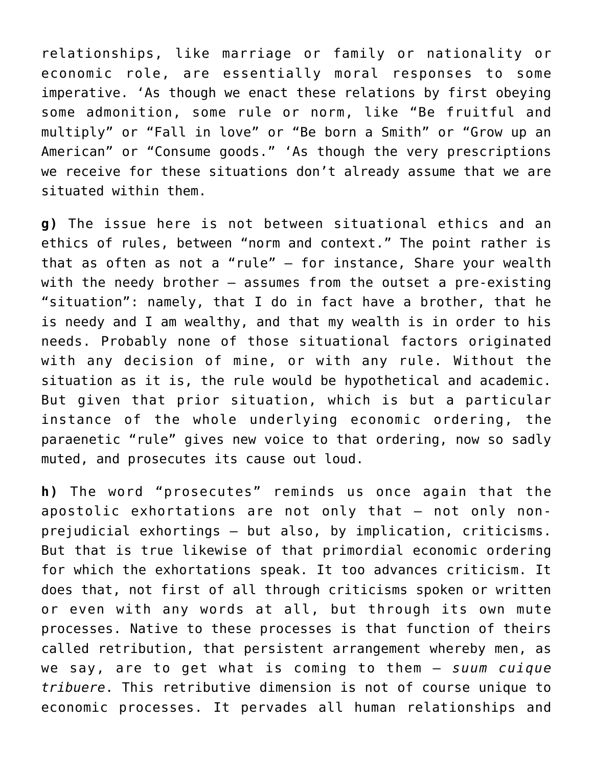relationships, like marriage or family or nationality or economic role, are essentially moral responses to some imperative. 'As though we enact these relations by first obeying some admonition, some rule or norm, like "Be fruitful and multiply" or "Fall in love" or "Be born a Smith" or "Grow up an American" or "Consume goods." 'As though the very prescriptions we receive for these situations don't already assume that we are situated within them.

**g)** The issue here is not between situational ethics and an ethics of rules, between "norm and context." The point rather is that as often as not a "rule" — for instance, Share your wealth with the needy brother — assumes from the outset a pre-existing "situation": namely, that I do in fact have a brother, that he is needy and I am wealthy, and that my wealth is in order to his needs. Probably none of those situational factors originated with any decision of mine, or with any rule. Without the situation as it is, the rule would be hypothetical and academic. But given that prior situation, which is but a particular instance of the whole underlying economic ordering, the paraenetic "rule" gives new voice to that ordering, now so sadly muted, and prosecutes its cause out loud.

**h)** The word "prosecutes" reminds us once again that the apostolic exhortations are not only that — not only nonprejudicial exhortings — but also, by implication, criticisms. But that is true likewise of that primordial economic ordering for which the exhortations speak. It too advances criticism. It does that, not first of all through criticisms spoken or written or even with any words at all, but through its own mute processes. Native to these processes is that function of theirs called retribution, that persistent arrangement whereby men, as we say, are to get what is coming to them — *suum cuique tribuere*. This retributive dimension is not of course unique to economic processes. It pervades all human relationships and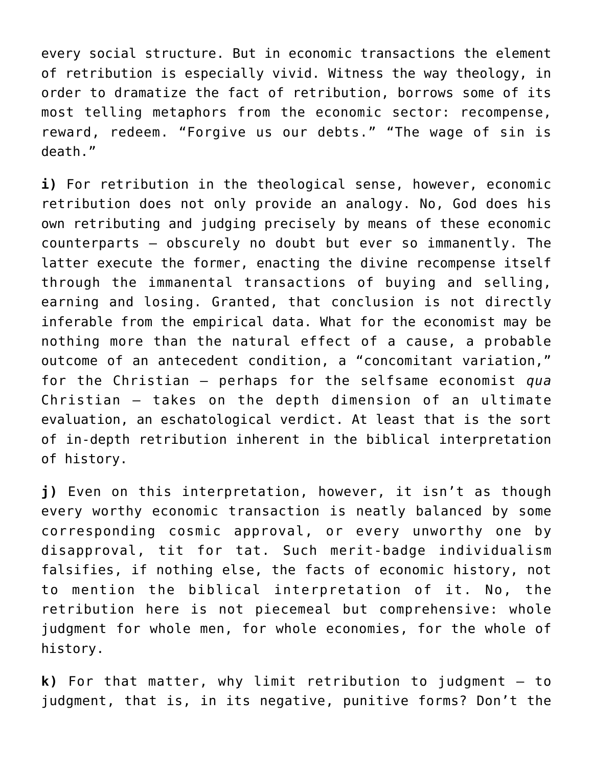every social structure. But in economic transactions the element of retribution is especially vivid. Witness the way theology, in order to dramatize the fact of retribution, borrows some of its most telling metaphors from the economic sector: recompense, reward, redeem. "Forgive us our debts." "The wage of sin is death."

**i)** For retribution in the theological sense, however, economic retribution does not only provide an analogy. No, God does his own retributing and judging precisely by means of these economic counterparts — obscurely no doubt but ever so immanently. The latter execute the former, enacting the divine recompense itself through the immanental transactions of buying and selling, earning and losing. Granted, that conclusion is not directly inferable from the empirical data. What for the economist may be nothing more than the natural effect of a cause, a probable outcome of an antecedent condition, a "concomitant variation," for the Christian — perhaps for the selfsame economist *qua* Christian — takes on the depth dimension of an ultimate evaluation, an eschatological verdict. At least that is the sort of in-depth retribution inherent in the biblical interpretation of history.

**j)** Even on this interpretation, however, it isn't as though every worthy economic transaction is neatly balanced by some corresponding cosmic approval, or every unworthy one by disapproval, tit for tat. Such merit-badge individualism falsifies, if nothing else, the facts of economic history, not to mention the biblical interpretation of it. No, the retribution here is not piecemeal but comprehensive: whole judgment for whole men, for whole economies, for the whole of history.

**k)** For that matter, why limit retribution to judgment – to judgment, that is, in its negative, punitive forms? Don't the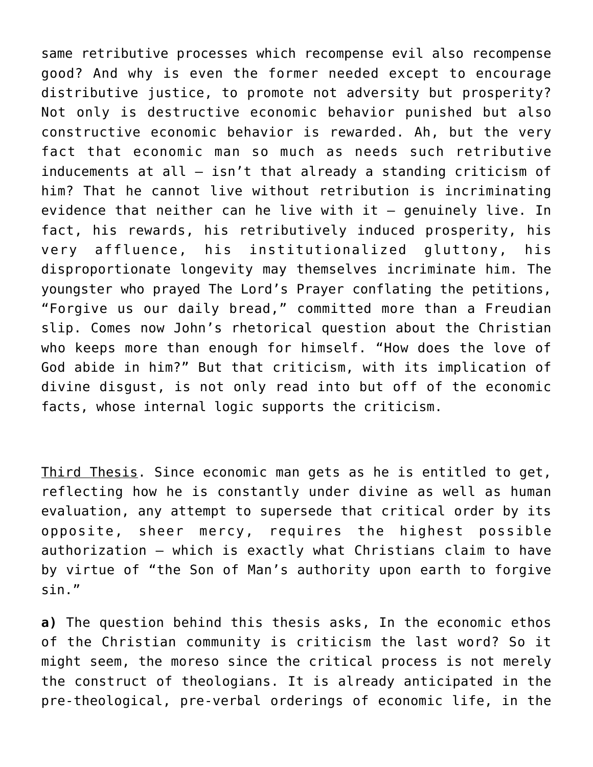same retributive processes which recompense evil also recompense good? And why is even the former needed except to encourage distributive justice, to promote not adversity but prosperity? Not only is destructive economic behavior punished but also constructive economic behavior is rewarded. Ah, but the very fact that economic man so much as needs such retributive inducements at all – isn't that already a standing criticism of him? That he cannot live without retribution is incriminating evidence that neither can he live with it – genuinely live. In fact, his rewards, his retributively induced prosperity, his very affluence, his institutionalized gluttony, his disproportionate longevity may themselves incriminate him. The youngster who prayed The Lord's Prayer conflating the petitions, "Forgive us our daily bread," committed more than a Freudian slip. Comes now John's rhetorical question about the Christian who keeps more than enough for himself. "How does the love of God abide in him?" But that criticism, with its implication of divine disgust, is not only read into but off of the economic facts, whose internal logic supports the criticism.

Third Thesis. Since economic man gets as he is entitled to get, reflecting how he is constantly under divine as well as human evaluation, any attempt to supersede that critical order by its opposite, sheer mercy, requires the highest possible authorization – which is exactly what Christians claim to have by virtue of "the Son of Man's authority upon earth to forgive sin."

**a)** The question behind this thesis asks, In the economic ethos of the Christian community is criticism the last word? So it might seem, the moreso since the critical process is not merely the construct of theologians. It is already anticipated in the pre-theological, pre-verbal orderings of economic life, in the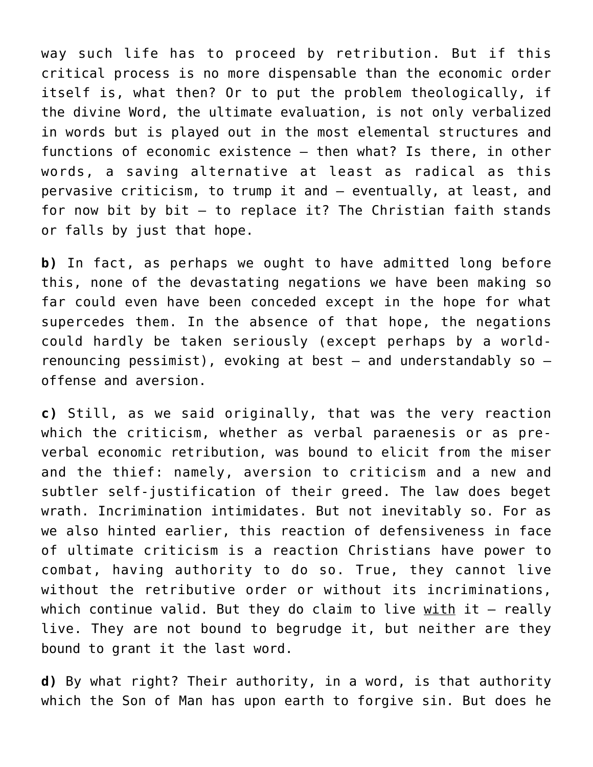way such life has to proceed by retribution. But if this critical process is no more dispensable than the economic order itself is, what then? Or to put the problem theologically, if the divine Word, the ultimate evaluation, is not only verbalized in words but is played out in the most elemental structures and functions of economic existence – then what? Is there, in other words, a saving alternative at least as radical as this pervasive criticism, to trump it and – eventually, at least, and for now bit by bit  $-$  to replace it? The Christian faith stands or falls by just that hope.

**b)** In fact, as perhaps we ought to have admitted long before this, none of the devastating negations we have been making so far could even have been conceded except in the hope for what supercedes them. In the absence of that hope, the negations could hardly be taken seriously (except perhaps by a worldrenouncing pessimist), evoking at best  $-$  and understandably so  $$ offense and aversion.

**c)** Still, as we said originally, that was the very reaction which the criticism, whether as verbal paraenesis or as preverbal economic retribution, was bound to elicit from the miser and the thief: namely, aversion to criticism and a new and subtler self-justification of their greed. The law does beget wrath. Incrimination intimidates. But not inevitably so. For as we also hinted earlier, this reaction of defensiveness in face of ultimate criticism is a reaction Christians have power to combat, having authority to do so. True, they cannot live without the retributive order or without its incriminations, which continue valid. But they do claim to live with it  $-$  really live. They are not bound to begrudge it, but neither are they bound to grant it the last word.

**d)** By what right? Their authority, in a word, is that authority which the Son of Man has upon earth to forgive sin. But does he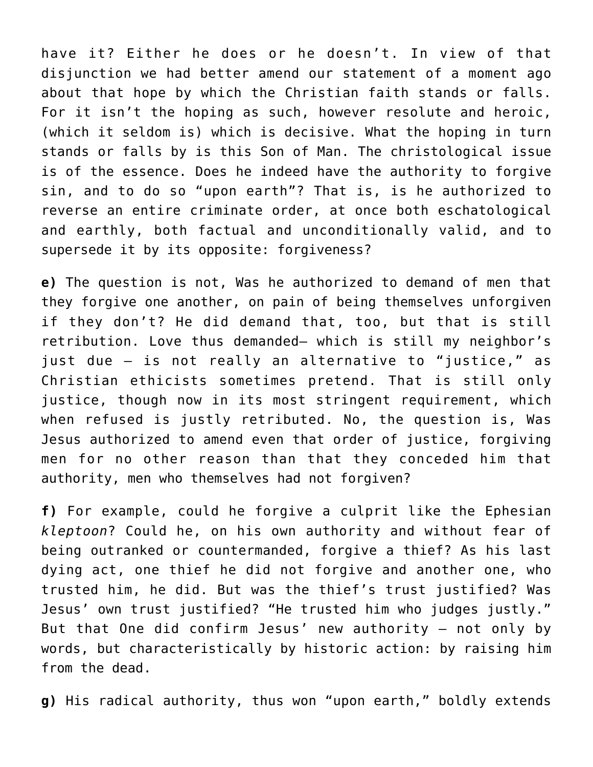have it? Either he does or he doesn't. In view of that disjunction we had better amend our statement of a moment ago about that hope by which the Christian faith stands or falls. For it isn't the hoping as such, however resolute and heroic, (which it seldom is) which is decisive. What the hoping in turn stands or falls by is this Son of Man. The christological issue is of the essence. Does he indeed have the authority to forgive sin, and to do so "upon earth"? That is, is he authorized to reverse an entire criminate order, at once both eschatological and earthly, both factual and unconditionally valid, and to supersede it by its opposite: forgiveness?

**e)** The question is not, Was he authorized to demand of men that they forgive one another, on pain of being themselves unforgiven if they don't? He did demand that, too, but that is still retribution. Love thus demanded– which is still my neighbor's just due — is not really an alternative to "justice," as Christian ethicists sometimes pretend. That is still only justice, though now in its most stringent requirement, which when refused is justly retributed. No, the question is, Was Jesus authorized to amend even that order of justice, forgiving men for no other reason than that they conceded him that authority, men who themselves had not forgiven?

**f)** For example, could he forgive a culprit like the Ephesian *kleptoon*? Could he, on his own authority and without fear of being outranked or countermanded, forgive a thief? As his last dying act, one thief he did not forgive and another one, who trusted him, he did. But was the thief's trust justified? Was Jesus' own trust justified? "He trusted him who judges justly." But that One did confirm Jesus' new authority — not only by words, but characteristically by historic action: by raising him from the dead.

**g)** His radical authority, thus won "upon earth," boldly extends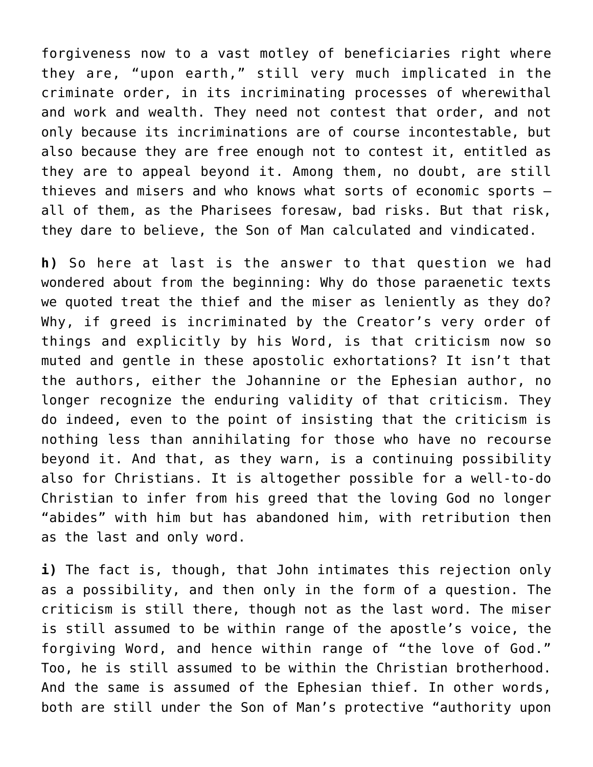forgiveness now to a vast motley of beneficiaries right where they are, "upon earth," still very much implicated in the criminate order, in its incriminating processes of wherewithal and work and wealth. They need not contest that order, and not only because its incriminations are of course incontestable, but also because they are free enough not to contest it, entitled as they are to appeal beyond it. Among them, no doubt, are still thieves and misers and who knows what sorts of economic sports all of them, as the Pharisees foresaw, bad risks. But that risk, they dare to believe, the Son of Man calculated and vindicated.

**h)** So here at last is the answer to that question we had wondered about from the beginning: Why do those paraenetic texts we quoted treat the thief and the miser as leniently as they do? Why, if greed is incriminated by the Creator's very order of things and explicitly by his Word, is that criticism now so muted and gentle in these apostolic exhortations? It isn't that the authors, either the Johannine or the Ephesian author, no longer recognize the enduring validity of that criticism. They do indeed, even to the point of insisting that the criticism is nothing less than annihilating for those who have no recourse beyond it. And that, as they warn, is a continuing possibility also for Christians. It is altogether possible for a well-to-do Christian to infer from his greed that the loving God no longer "abides" with him but has abandoned him, with retribution then as the last and only word.

**i)** The fact is, though, that John intimates this rejection only as a possibility, and then only in the form of a question. The criticism is still there, though not as the last word. The miser is still assumed to be within range of the apostle's voice, the forgiving Word, and hence within range of "the love of God." Too, he is still assumed to be within the Christian brotherhood. And the same is assumed of the Ephesian thief. In other words, both are still under the Son of Man's protective "authority upon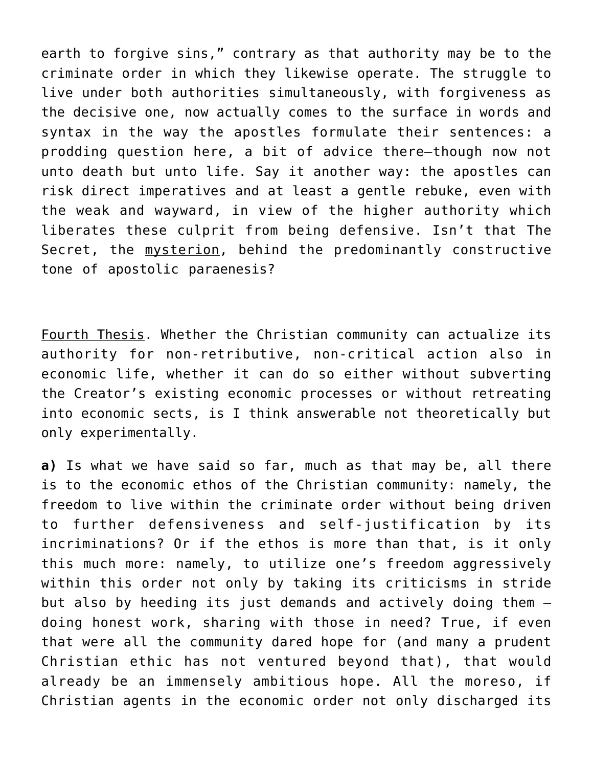earth to forgive sins," contrary as that authority may be to the criminate order in which they likewise operate. The struggle to live under both authorities simultaneously, with forgiveness as the decisive one, now actually comes to the surface in words and syntax in the way the apostles formulate their sentences: a prodding question here, a bit of advice there–though now not unto death but unto life. Say it another way: the apostles can risk direct imperatives and at least a gentle rebuke, even with the weak and wayward, in view of the higher authority which liberates these culprit from being defensive. Isn't that The Secret, the mysterion, behind the predominantly constructive tone of apostolic paraenesis?

Fourth Thesis. Whether the Christian community can actualize its authority for non-retributive, non-critical action also in economic life, whether it can do so either without subverting the Creator's existing economic processes or without retreating into economic sects, is I think answerable not theoretically but only experimentally.

**a)** Is what we have said so far, much as that may be, all there is to the economic ethos of the Christian community: namely, the freedom to live within the criminate order without being driven to further defensiveness and self-justification by its incriminations? Or if the ethos is more than that, is it only this much more: namely, to utilize one's freedom aggressively within this order not only by taking its criticisms in stride but also by heeding its just demands and actively doing them doing honest work, sharing with those in need? True, if even that were all the community dared hope for (and many a prudent Christian ethic has not ventured beyond that), that would already be an immensely ambitious hope. All the moreso, if Christian agents in the economic order not only discharged its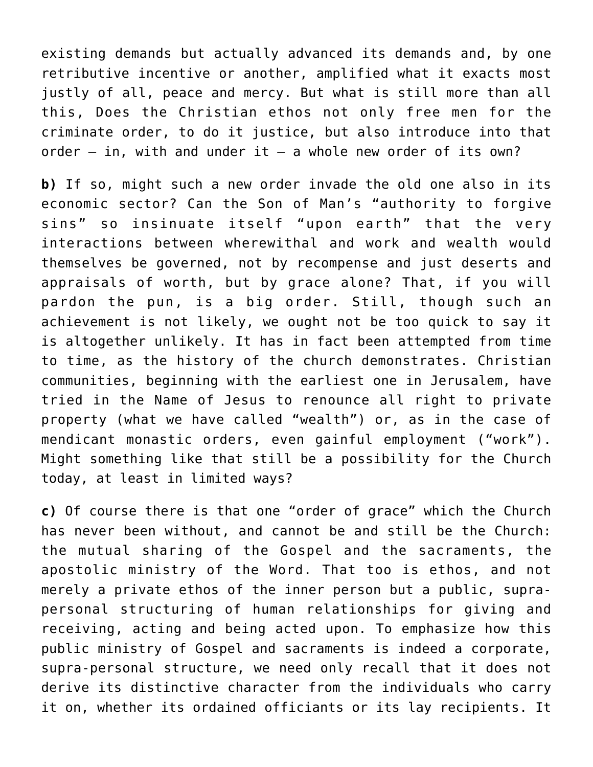existing demands but actually advanced its demands and, by one retributive incentive or another, amplified what it exacts most justly of all, peace and mercy. But what is still more than all this, Does the Christian ethos not only free men for the criminate order, to do it justice, but also introduce into that order  $-$  in, with and under it  $-$  a whole new order of its own?

**b)** If so, might such a new order invade the old one also in its economic sector? Can the Son of Man's "authority to forgive sins" so insinuate itself "upon earth" that the very interactions between wherewithal and work and wealth would themselves be governed, not by recompense and just deserts and appraisals of worth, but by grace alone? That, if you will pardon the pun, is a big order. Still, though such an achievement is not likely, we ought not be too quick to say it is altogether unlikely. It has in fact been attempted from time to time, as the history of the church demonstrates. Christian communities, beginning with the earliest one in Jerusalem, have tried in the Name of Jesus to renounce all right to private property (what we have called "wealth") or, as in the case of mendicant monastic orders, even gainful employment ("work"). Might something like that still be a possibility for the Church today, at least in limited ways?

**c)** Of course there is that one "order of grace" which the Church has never been without, and cannot be and still be the Church: the mutual sharing of the Gospel and the sacraments, the apostolic ministry of the Word. That too is ethos, and not merely a private ethos of the inner person but a public, suprapersonal structuring of human relationships for giving and receiving, acting and being acted upon. To emphasize how this public ministry of Gospel and sacraments is indeed a corporate, supra-personal structure, we need only recall that it does not derive its distinctive character from the individuals who carry it on, whether its ordained officiants or its lay recipients. It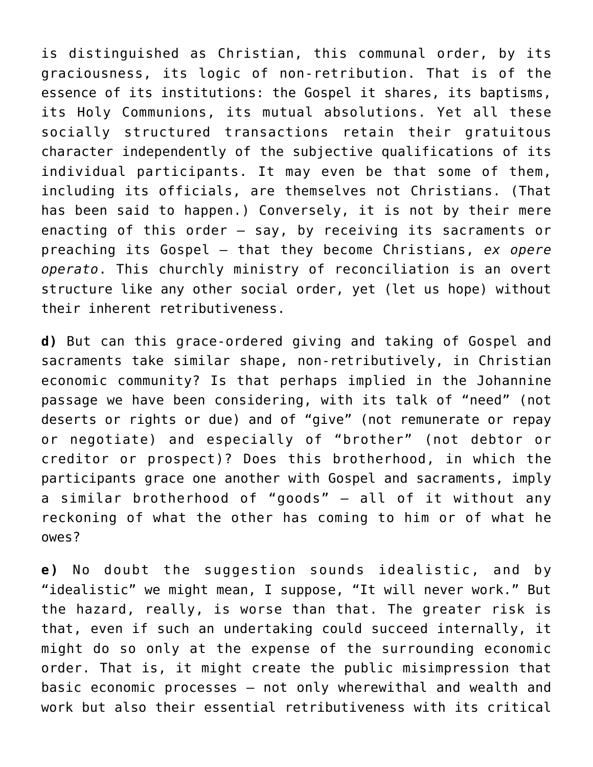is distinguished as Christian, this communal order, by its graciousness, its logic of non-retribution. That is of the essence of its institutions: the Gospel it shares, its baptisms, its Holy Communions, its mutual absolutions. Yet all these socially structured transactions retain their gratuitous character independently of the subjective qualifications of its individual participants. It may even be that some of them, including its officials, are themselves not Christians. (That has been said to happen.) Conversely, it is not by their mere enacting of this order – say, by receiving its sacraments or preaching its Gospel – that they become Christians, *ex opere operato*. This churchly ministry of reconciliation is an overt structure like any other social order, yet (let us hope) without their inherent retributiveness.

**d)** But can this grace-ordered giving and taking of Gospel and sacraments take similar shape, non-retributively, in Christian economic community? Is that perhaps implied in the Johannine passage we have been considering, with its talk of "need" (not deserts or rights or due) and of "give" (not remunerate or repay or negotiate) and especially of "brother" (not debtor or creditor or prospect)? Does this brotherhood, in which the participants grace one another with Gospel and sacraments, imply a similar brotherhood of "goods" – all of it without any reckoning of what the other has coming to him or of what he owes?

**e)** No doubt the suggestion sounds idealistic, and by "idealistic" we might mean, I suppose, "It will never work." But the hazard, really, is worse than that. The greater risk is that, even if such an undertaking could succeed internally, it might do so only at the expense of the surrounding economic order. That is, it might create the public misimpression that basic economic processes – not only wherewithal and wealth and work but also their essential retributiveness with its critical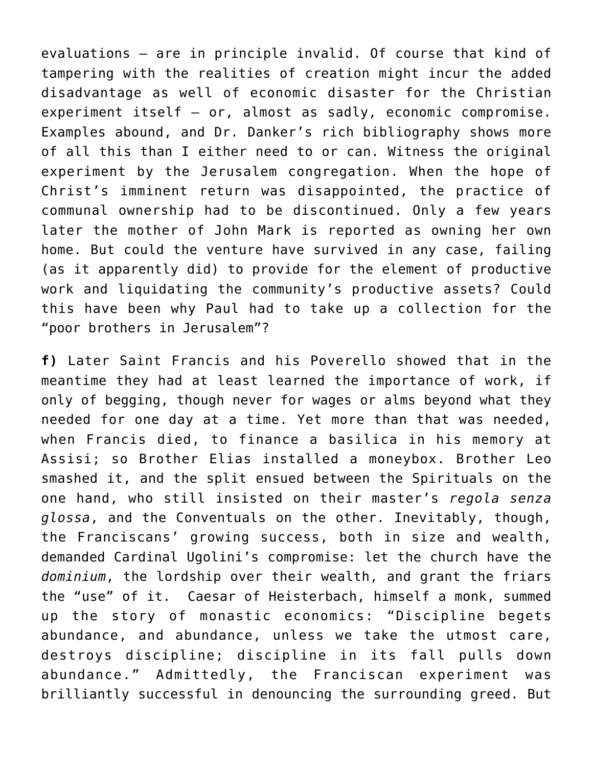evaluations — are in principle invalid. Of course that kind of tampering with the realities of creation might incur the added disadvantage as well of economic disaster for the Christian experiment itself — or, almost as sadly, economic compromise. Examples abound, and Dr. Danker's rich bibliography shows more of all this than I either need to or can. Witness the original experiment by the Jerusalem congregation. When the hope of Christ's imminent return was disappointed, the practice of communal ownership had to be discontinued. Only a few years later the mother of John Mark is reported as owning her own home. But could the venture have survived in any case, failing (as it apparently did) to provide for the element of productive work and liquidating the community's productive assets? Could this have been why Paul had to take up a collection for the "poor brothers in Jerusalem"?

**f)** Later Saint Francis and his Poverello showed that in the meantime they had at least learned the importance of work, if only of begging, though never for wages or alms beyond what they needed for one day at a time. Yet more than that was needed, when Francis died, to finance a basilica in his memory at Assisi; so Brother Elias installed a moneybox. Brother Leo smashed it, and the split ensued between the Spirituals on the one hand, who still insisted on their master's *regola senza glossa*, and the Conventuals on the other. Inevitably, though, the Franciscans' growing success, both in size and wealth, demanded Cardinal Ugolini's compromise: let the church have the *dominium*, the lordship over their wealth, and grant the friars the "use" of it. Caesar of Heisterbach, himself a monk, summed up the story of monastic economics: "Discipline begets abundance, and abundance, unless we take the utmost care, destroys discipline; discipline in its fall pulls down abundance." Admittedly, the Franciscan experiment was brilliantly successful in denouncing the surrounding greed. But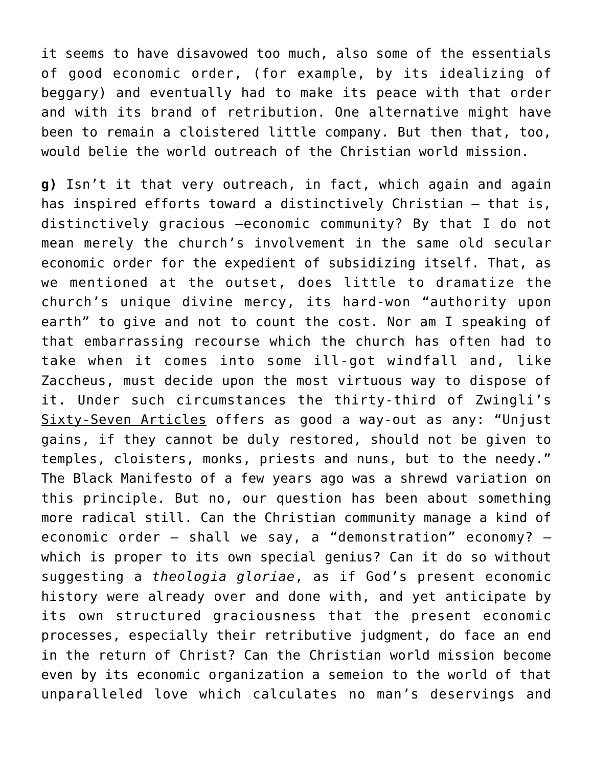it seems to have disavowed too much, also some of the essentials of good economic order, (for example, by its idealizing of beggary) and eventually had to make its peace with that order and with its brand of retribution. One alternative might have been to remain a cloistered little company. But then that, too, would belie the world outreach of the Christian world mission.

**g)** Isn't it that very outreach, in fact, which again and again has inspired efforts toward a distinctively Christian — that is, distinctively gracious –economic community? By that I do not mean merely the church's involvement in the same old secular economic order for the expedient of subsidizing itself. That, as we mentioned at the outset, does little to dramatize the church's unique divine mercy, its hard-won "authority upon earth" to give and not to count the cost. Nor am I speaking of that embarrassing recourse which the church has often had to take when it comes into some ill-got windfall and, like Zaccheus, must decide upon the most virtuous way to dispose of it. Under such circumstances the thirty-third of Zwingli's Sixty-Seven Articles offers as good a way-out as any: "Unjust gains, if they cannot be duly restored, should not be given to temples, cloisters, monks, priests and nuns, but to the needy." The Black Manifesto of a few years ago was a shrewd variation on this principle. But no, our question has been about something more radical still. Can the Christian community manage a kind of economic order — shall we say, a "demonstration" economy? which is proper to its own special genius? Can it do so without suggesting a *theologia gloriae*, as if God's present economic history were already over and done with, and yet anticipate by its own structured graciousness that the present economic processes, especially their retributive judgment, do face an end in the return of Christ? Can the Christian world mission become even by its economic organization a semeion to the world of that unparalleled love which calculates no man's deservings and